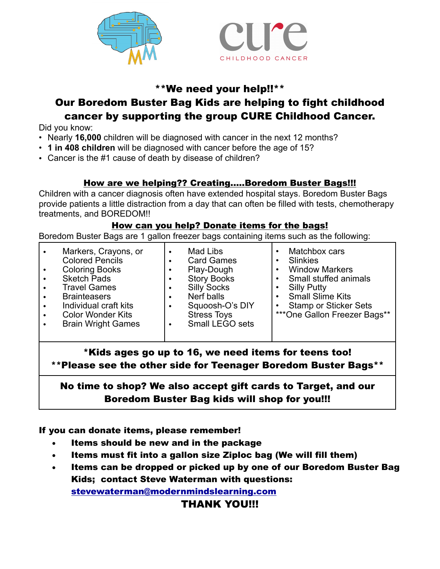



#### \*\*We need your help!!\*\*

## Our Boredom Buster Bag Kids are helping to fight childhood cancer by supporting the group CURE Childhood Cancer.

Did you know:

- Nearly **16,000** children will be diagnosed with cancer in the next 12 months?
- **1 in 408 children** will be diagnosed with cancer before the age of 15?
- Cancer is the #1 cause of death by disease of children?

#### How are we helping?? Creating.....Boredom Buster Bags!!!

Children with a cancer diagnosis often have extended hospital stays. Boredom Buster Bags provide patients a little distraction from a day that can often be filled with tests, chemotherapy treatments, and BOREDOM!!

#### How can you help? Donate items for the bags!

Boredom Buster Bags are 1 gallon freezer bags containing items such as the following:

| $\bullet$<br>$\bullet$ | Markers, Crayons, or<br><b>Colored Pencils</b><br><b>Coloring Books</b><br><b>Sketch Pads</b><br><b>Travel Games</b><br><b>Brainteasers</b><br>Individual craft kits<br><b>Color Wonder Kits</b><br><b>Brain Wright Games</b> | ٠<br>٠<br>٠<br>٠ | Mad Libs<br><b>Card Games</b><br>Play-Dough<br><b>Story Books</b><br><b>Silly Socks</b><br>Nerf balls<br>Squoosh-O's DIY<br><b>Stress Toys</b><br>Small LEGO sets | Matchbox cars<br><b>Slinkies</b><br><b>Window Markers</b><br>Small stuffed animals<br><b>Silly Putty</b><br><b>Small Slime Kits</b><br><b>Stamp or Sticker Sets</b><br>***One Gallon Freezer Bags** |
|------------------------|-------------------------------------------------------------------------------------------------------------------------------------------------------------------------------------------------------------------------------|------------------|-------------------------------------------------------------------------------------------------------------------------------------------------------------------|-----------------------------------------------------------------------------------------------------------------------------------------------------------------------------------------------------|
|------------------------|-------------------------------------------------------------------------------------------------------------------------------------------------------------------------------------------------------------------------------|------------------|-------------------------------------------------------------------------------------------------------------------------------------------------------------------|-----------------------------------------------------------------------------------------------------------------------------------------------------------------------------------------------------|

\*Kids ages go up to 16, we need items for teens too! \*\*Please see the other side for Teenager Boredom Buster Bags\*\*

## No time to shop? We also accept gift cards to Target, and our Boredom Buster Bag kids will shop for you!!!

If you can donate items, please remember!

- Items should be new and in the package
- Items must fit into a gallon size Ziploc bag (We will fill them)
- Items can be dropped or picked up by one of our Boredom Buster Bag Kids; contact Steve Waterman with questions: [stevewaterman@modernmindslearning.com](mailto:swaterman13@gmail.com)

#### THANK YOU!!!